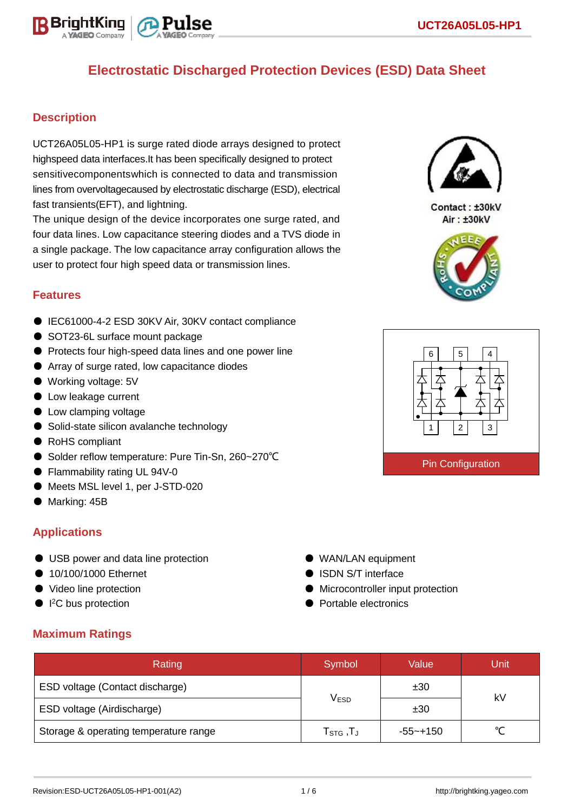

## **Description**

UCT26A05L05-HP1 is surge rated diode arrays designed to protect highspeed data interfaces.It has been specifically designed to protect sensitivecomponentswhich is connected to data and transmission lines from overvoltagecaused by electrostatic discharge (ESD), electrical fast transients(EFT), and lightning.

The unique design of the device incorporates one surge rated, and four data lines. Low capacitance steering diodes and a TVS diode in a single package. The low capacitance array configuration allows the user to protect four high speed data or transmission lines.

### **Features**

- IEC61000-4-2 ESD 30KV Air, 30KV contact compliance
- SOT23-6L surface mount package
- Protects four high-speed data lines and one power line
- Array of surge rated, low capacitance diodes
- Working voltage: 5V
- Low leakage current
- Low clamping voltage
- Solid-state silicon avalanche technology
- RoHS compliant
- Solder reflow temperature: Pure Tin-Sn, 260~270°C
- Flammability rating UL 94V-0
- Meets MSL level 1, per J-STD-020
- Marking: 45B

## **Applications**

- USB power and data line protection
- 10/100/1000 Ethernet
- Video line protection
- I<sup>2</sup>C bus protection
- WAN/LAN equipment
- ISDN S/T interface
- Microcontroller input protection
- Portable electronics

## **Maximum Ratings**

| Rating                                | Symbol                                     | Value    | Unit |  |
|---------------------------------------|--------------------------------------------|----------|------|--|
| ESD voltage (Contact discharge)       |                                            | ±30      | kV   |  |
| ESD voltage (Airdischarge)            | $\mathsf{V}_{\mathsf{ESD}}$                | ±30      |      |  |
| Storage & operating temperature range | ${\sf T}_{\text{STG}}$ , ${\sf T}_{\sf J}$ | -55~+150 |      |  |



Contact: ±30kV Air: ±30kV



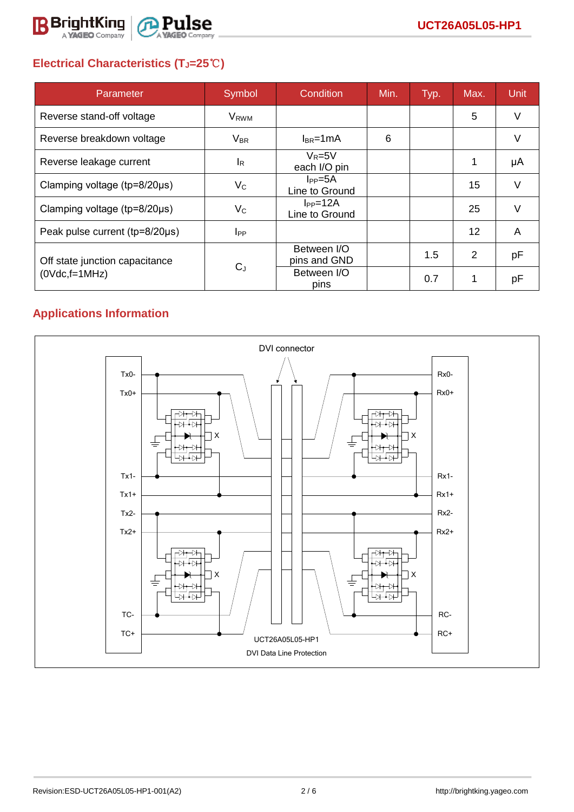

# **Electrical Characteristics (TJ=25**℃**)**

| Parameter                           | Symbol                  | Condition                             | Min. | Typ. | Max.              | Unit   |
|-------------------------------------|-------------------------|---------------------------------------|------|------|-------------------|--------|
| Reverse stand-off voltage           | <b>V</b> <sub>RWM</sub> |                                       |      |      | 5                 | V      |
| Reverse breakdown voltage           | $V_{BR}$                | $I_{BR}$ =1mA                         | 6    |      |                   | $\vee$ |
| Reverse leakage current             | <sub>lR</sub>           | $V_R = 5V$<br>each I/O pin            |      |      | 1                 | μA     |
| Clamping voltage ( $tp=8/20\mu s$ ) | $V_C$                   | I <sub>PP</sub> =5A<br>Line to Ground |      |      | 15                | V      |
| Clamping voltage ( $tp=8/20\mu s$ ) | $V_C$                   | $I_{PP} = 12A$<br>Line to Ground      |      |      | 25                | $\vee$ |
| Peak pulse current (tp=8/20µs)      | $I_{PP}$                |                                       |      |      | $12 \overline{ }$ | A      |
| Off state junction capacitance      |                         | Between I/O<br>pins and GND           |      | 1.5  | $\overline{2}$    | pF     |
| $(0Vdc,f=1MHz)$                     | $C_{J}$                 | Between I/O<br>pins                   |      | 0.7  | 1                 | рF     |

# **Applications Information**

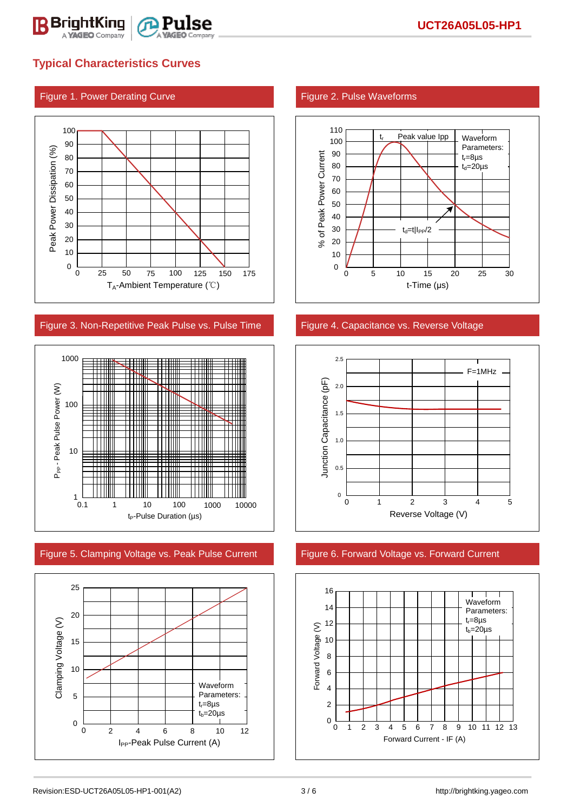

## **Typical Characteristics Curves**

### Figure 1. Power Derating Curve Figure 2. Pulse Waveforms



### Figure 3. Non-Repetitive Peak Pulse vs. Pulse Time Figure 4. Capacitance vs. Reverse Voltage



Figure 5. Clamping Voltage vs. Peak Pulse Current Figure 6. Forward Voltage vs. Forward Current







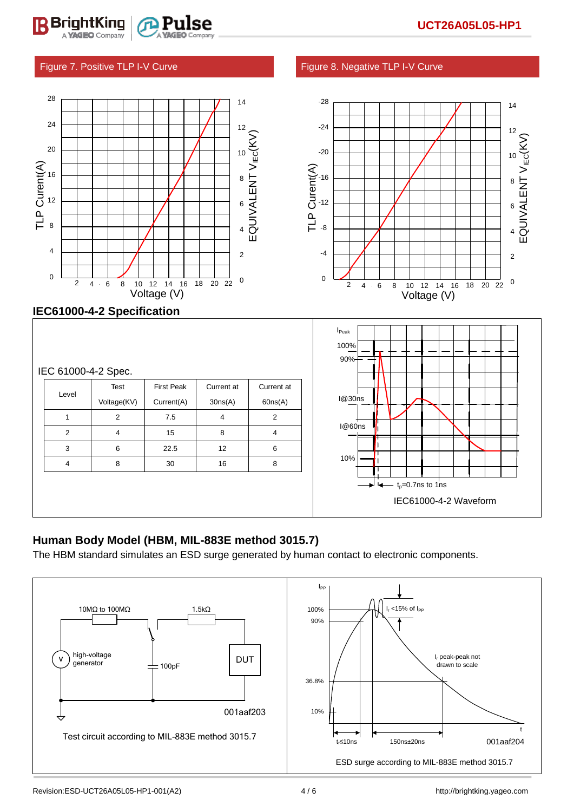### Figure 7. Positive TLP I-V Curve Figure 8. Negative TLP I-V Curve

BriahtKina



|   | Voltage(KV) | Current(A) | 30ns(A) | 60ns(A) |
|---|-------------|------------|---------|---------|
|   | 2           | 7.5        | 4       | 2       |
| 2 | 4           | 15         | 8       | 4       |
| 3 | 6           | 22.5       | 12      | 6       |
| 4 | 8           | 30         | 16      | 8       |
|   |             |            |         |         |
|   |             |            |         |         |
|   |             |            |         |         |

## **Human Body Model (HBM, MIL-883E method 3015.7)**

The HBM standard simulates an ESD surge generated by human contact to electronic components.



IEC61000-4-2 Waveform

 $t_0$ =0.7ns to 1ns

`

10%

I@60ns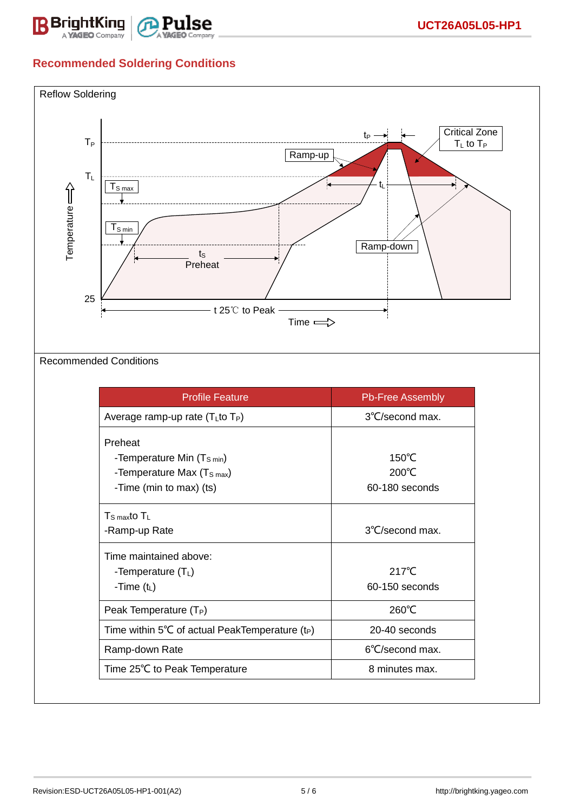

# **Recommended Soldering Conditions**